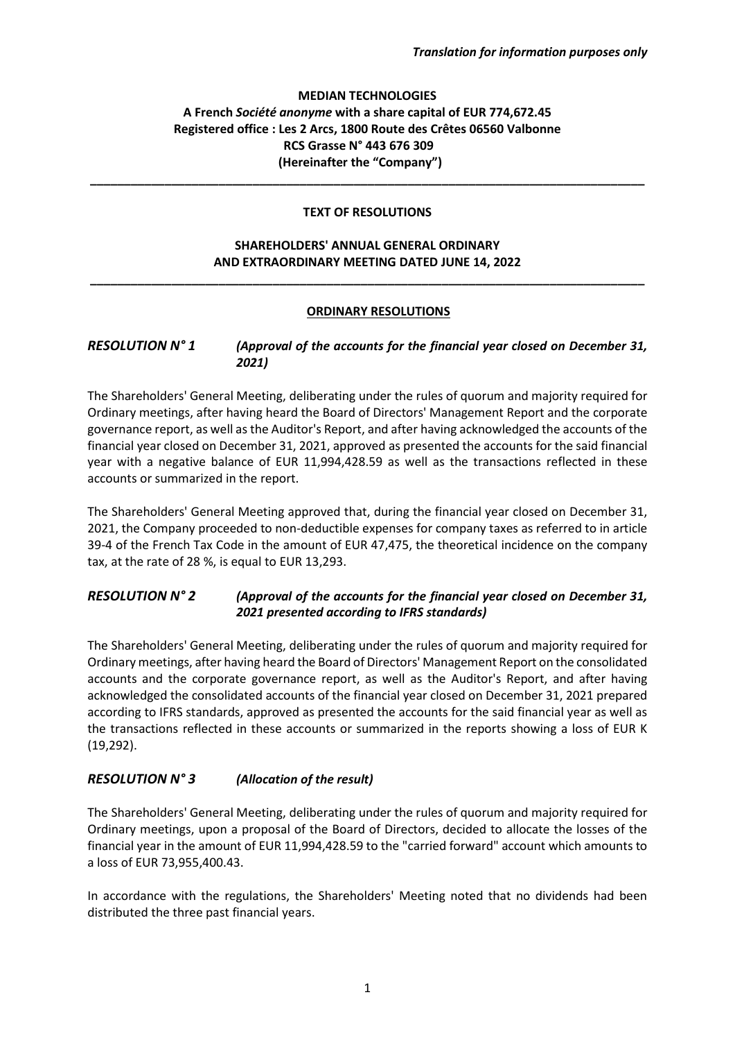#### **MEDIAN TECHNOLOGIES A French** *Société anonyme* **with a share capital of EUR 774,672.45 Registered office : Les 2 Arcs, 1800 Route des Crêtes 06560 Valbonne RCS Grasse N° 443 676 309 (Hereinafter the "Company")**

### **TEXT OF RESOLUTIONS**

**\_\_\_\_\_\_\_\_\_\_\_\_\_\_\_\_\_\_\_\_\_\_\_\_\_\_\_\_\_\_\_\_\_\_\_\_\_\_\_\_\_\_\_\_\_\_\_\_\_\_\_\_\_\_\_\_\_\_\_\_\_\_\_\_\_\_\_\_\_\_\_\_\_\_\_\_\_\_\_\_\_\_**

#### **SHAREHOLDERS' ANNUAL GENERAL ORDINARY AND EXTRAORDINARY MEETING DATED JUNE 14, 2022**

**\_\_\_\_\_\_\_\_\_\_\_\_\_\_\_\_\_\_\_\_\_\_\_\_\_\_\_\_\_\_\_\_\_\_\_\_\_\_\_\_\_\_\_\_\_\_\_\_\_\_\_\_\_\_\_\_\_\_\_\_\_\_\_\_\_\_\_\_\_\_\_\_\_\_\_\_\_\_\_\_\_\_**

#### **ORDINARY RESOLUTIONS**

### *RESOLUTION N° 1 (Approval of the accounts for the financial year closed on December 31, 2021)*

The Shareholders' General Meeting, deliberating under the rules of quorum and majority required for Ordinary meetings, after having heard the Board of Directors' Management Report and the corporate governance report, as well as the Auditor's Report, and after having acknowledged the accounts of the financial year closed on December 31, 2021, approved as presented the accounts for the said financial year with a negative balance of EUR 11,994,428.59 as well as the transactions reflected in these accounts or summarized in the report.

The Shareholders' General Meeting approved that, during the financial year closed on December 31, 2021, the Company proceeded to non-deductible expenses for company taxes as referred to in article 39-4 of the French Tax Code in the amount of EUR 47,475, the theoretical incidence on the company tax, at the rate of 28 %, is equal to EUR 13,293.

## *RESOLUTION N° 2 (Approval of the accounts for the financial year closed on December 31, 2021 presented according to IFRS standards)*

The Shareholders' General Meeting, deliberating under the rules of quorum and majority required for Ordinary meetings, after having heard the Board of Directors' Management Report on the consolidated accounts and the corporate governance report, as well as the Auditor's Report, and after having acknowledged the consolidated accounts of the financial year closed on December 31, 2021 prepared according to IFRS standards, approved as presented the accounts for the said financial year as well as the transactions reflected in these accounts or summarized in the reports showing a loss of EUR K (19,292).

# *RESOLUTION N° 3 (Allocation of the result)*

The Shareholders' General Meeting, deliberating under the rules of quorum and majority required for Ordinary meetings, upon a proposal of the Board of Directors, decided to allocate the losses of the financial year in the amount of EUR 11,994,428.59 to the "carried forward" account which amounts to a loss of EUR 73,955,400.43.

In accordance with the regulations, the Shareholders' Meeting noted that no dividends had been distributed the three past financial years.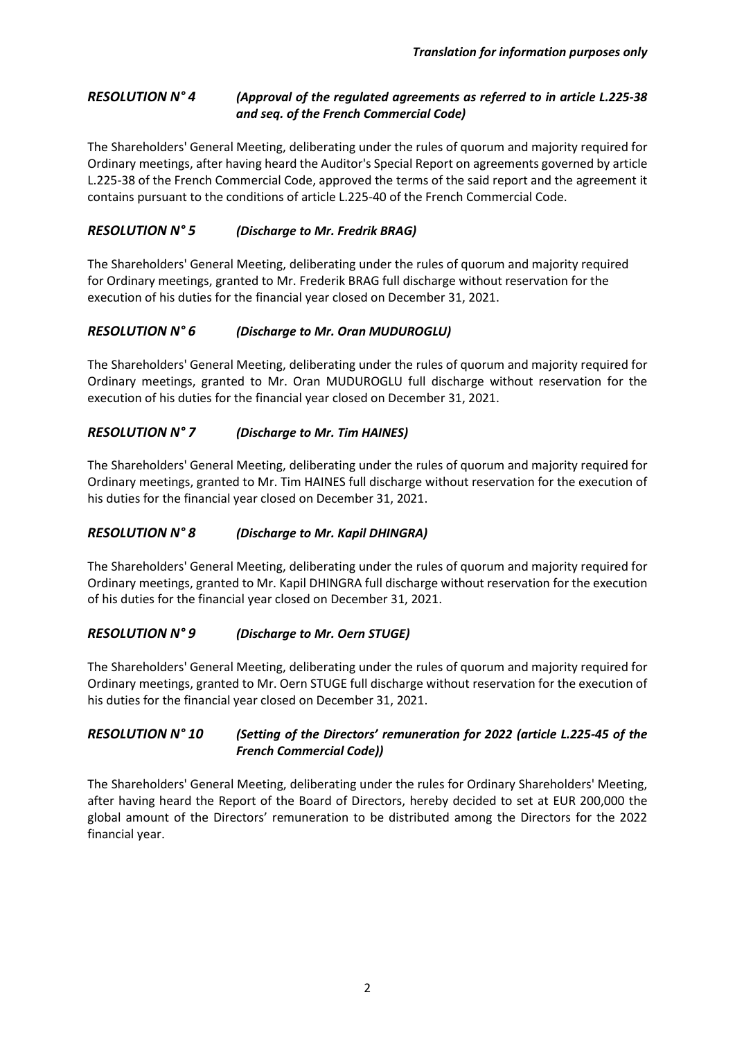## *RESOLUTION N° 4 (Approval of the regulated agreements as referred to in article L.225-38 and seq. of the French Commercial Code)*

The Shareholders' General Meeting, deliberating under the rules of quorum and majority required for Ordinary meetings, after having heard the Auditor's Special Report on agreements governed by article L.225-38 of the French Commercial Code, approved the terms of the said report and the agreement it contains pursuant to the conditions of article L.225-40 of the French Commercial Code.

# *RESOLUTION N° 5 (Discharge to Mr. Fredrik BRAG)*

The Shareholders' General Meeting, deliberating under the rules of quorum and majority required for Ordinary meetings, granted to Mr. Frederik BRAG full discharge without reservation for the execution of his duties for the financial year closed on December 31, 2021.

# *RESOLUTION N° 6 (Discharge to Mr. Oran MUDUROGLU)*

The Shareholders' General Meeting, deliberating under the rules of quorum and majority required for Ordinary meetings, granted to Mr. Oran MUDUROGLU full discharge without reservation for the execution of his duties for the financial year closed on December 31, 2021.

# *RESOLUTION N° 7 (Discharge to Mr. Tim HAINES)*

The Shareholders' General Meeting, deliberating under the rules of quorum and majority required for Ordinary meetings, granted to Mr. Tim HAINES full discharge without reservation for the execution of his duties for the financial year closed on December 31, 2021.

# *RESOLUTION N° 8 (Discharge to Mr. Kapil DHINGRA)*

The Shareholders' General Meeting, deliberating under the rules of quorum and majority required for Ordinary meetings, granted to Mr. Kapil DHINGRA full discharge without reservation for the execution of his duties for the financial year closed on December 31, 2021.

# *RESOLUTION N° 9 (Discharge to Mr. Oern STUGE)*

The Shareholders' General Meeting, deliberating under the rules of quorum and majority required for Ordinary meetings, granted to Mr. Oern STUGE full discharge without reservation for the execution of his duties for the financial year closed on December 31, 2021.

## *RESOLUTION N° 10 (Setting of the Directors' remuneration for 2022 (article L.225-45 of the French Commercial Code))*

The Shareholders' General Meeting, deliberating under the rules for Ordinary Shareholders' Meeting, after having heard the Report of the Board of Directors, hereby decided to set at EUR 200,000 the global amount of the Directors' remuneration to be distributed among the Directors for the 2022 financial year.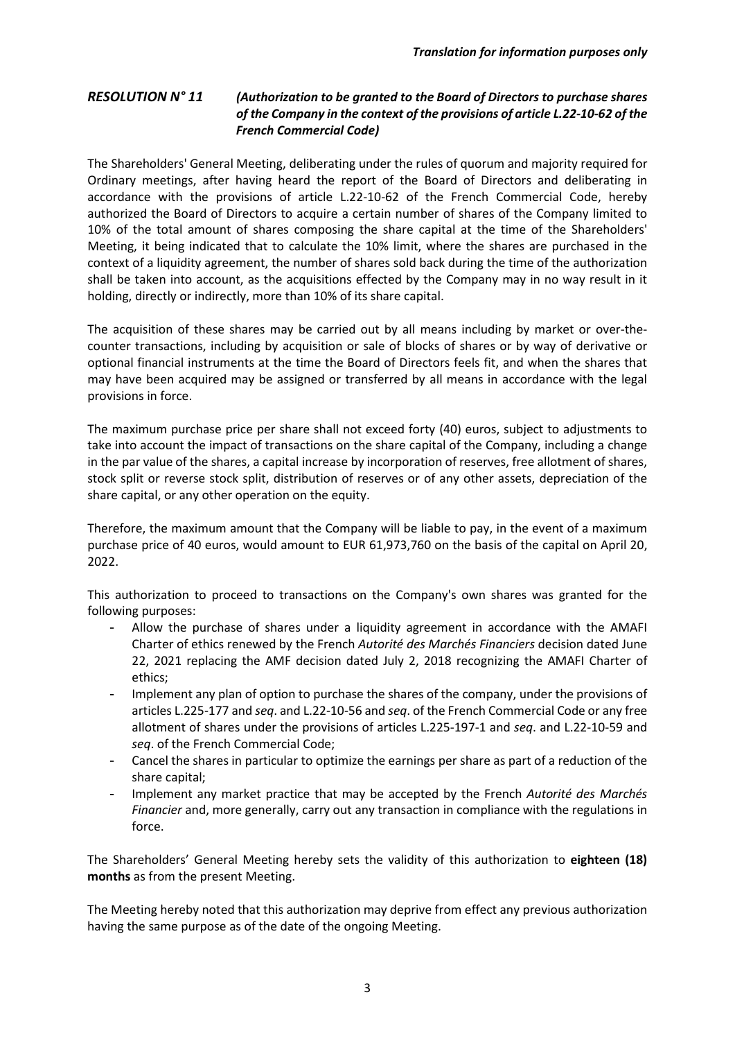#### *RESOLUTION N° 11 (Authorization to be granted to the Board of Directors to purchase shares of the Company in the context of the provisions of article L.22-10-62 of the French Commercial Code)*

The Shareholders' General Meeting, deliberating under the rules of quorum and majority required for Ordinary meetings, after having heard the report of the Board of Directors and deliberating in accordance with the provisions of article L.22-10-62 of the French Commercial Code, hereby authorized the Board of Directors to acquire a certain number of shares of the Company limited to 10% of the total amount of shares composing the share capital at the time of the Shareholders' Meeting, it being indicated that to calculate the 10% limit, where the shares are purchased in the context of a liquidity agreement, the number of shares sold back during the time of the authorization shall be taken into account, as the acquisitions effected by the Company may in no way result in it holding, directly or indirectly, more than 10% of its share capital.

The acquisition of these shares may be carried out by all means including by market or over-thecounter transactions, including by acquisition or sale of blocks of shares or by way of derivative or optional financial instruments at the time the Board of Directors feels fit, and when the shares that may have been acquired may be assigned or transferred by all means in accordance with the legal provisions in force.

The maximum purchase price per share shall not exceed forty (40) euros, subject to adjustments to take into account the impact of transactions on the share capital of the Company, including a change in the par value of the shares, a capital increase by incorporation of reserves, free allotment of shares, stock split or reverse stock split, distribution of reserves or of any other assets, depreciation of the share capital, or any other operation on the equity.

Therefore, the maximum amount that the Company will be liable to pay, in the event of a maximum purchase price of 40 euros, would amount to EUR 61,973,760 on the basis of the capital on April 20, 2022.

This authorization to proceed to transactions on the Company's own shares was granted for the following purposes:

- Allow the purchase of shares under a liquidity agreement in accordance with the AMAFI Charter of ethics renewed by the French *Autorité des Marchés Financiers* decision dated June 22, 2021 replacing the AMF decision dated July 2, 2018 recognizing the AMAFI Charter of ethics;
- Implement any plan of option to purchase the shares of the company, under the provisions of articles L.225-177 and *seq*. and L.22-10-56 and *seq*. of the French Commercial Code or any free allotment of shares under the provisions of articles L.225-197-1 and *seq*. and L.22-10-59 and *seq*. of the French Commercial Code;
- Cancel the shares in particular to optimize the earnings per share as part of a reduction of the share capital;
- Implement any market practice that may be accepted by the French *Autorité des Marchés Financier* and, more generally, carry out any transaction in compliance with the regulations in force.

The Shareholders' General Meeting hereby sets the validity of this authorization to **eighteen (18) months** as from the present Meeting.

The Meeting hereby noted that this authorization may deprive from effect any previous authorization having the same purpose as of the date of the ongoing Meeting.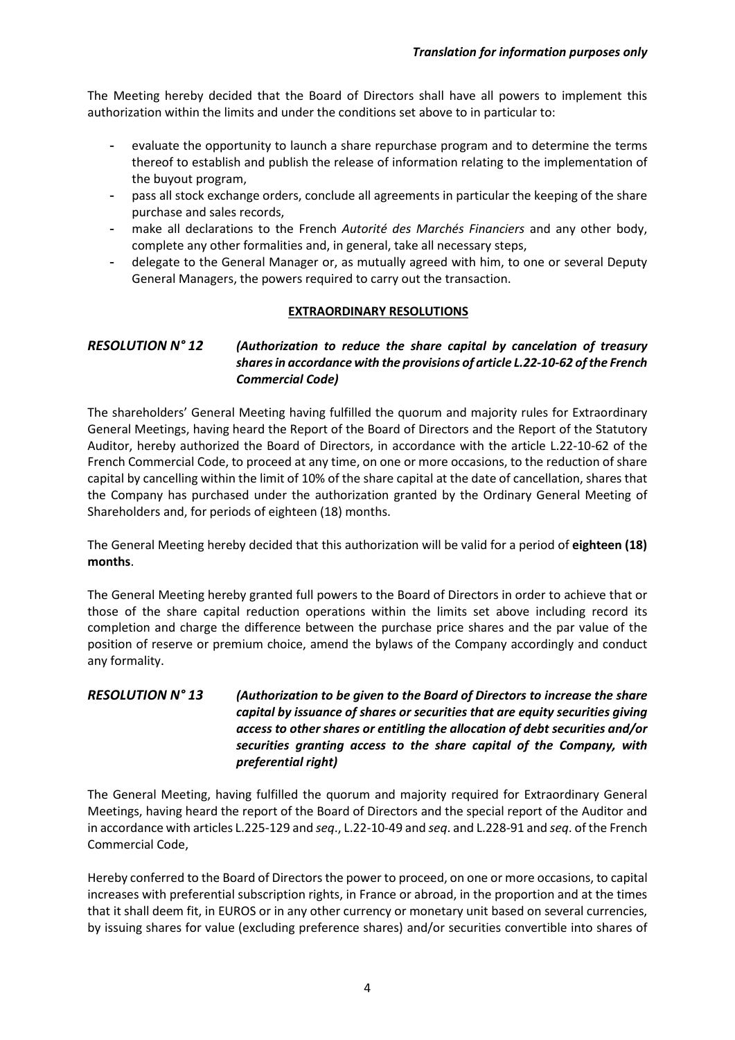The Meeting hereby decided that the Board of Directors shall have all powers to implement this authorization within the limits and under the conditions set above to in particular to:

- evaluate the opportunity to launch a share repurchase program and to determine the terms thereof to establish and publish the release of information relating to the implementation of the buyout program,
- pass all stock exchange orders, conclude all agreements in particular the keeping of the share purchase and sales records,
- make all declarations to the French *Autorité des Marchés Financiers* and any other body, complete any other formalities and, in general, take all necessary steps,
- delegate to the General Manager or, as mutually agreed with him, to one or several Deputy General Managers, the powers required to carry out the transaction.

#### **EXTRAORDINARY RESOLUTIONS**

### *RESOLUTION N° 12 (Authorization to reduce the share capital by cancelation of treasury shares in accordance with the provisions of article L.22-10-62 of the French Commercial Code)*

The shareholders' General Meeting having fulfilled the quorum and majority rules for Extraordinary General Meetings, having heard the Report of the Board of Directors and the Report of the Statutory Auditor, hereby authorized the Board of Directors, in accordance with the article L.22-10-62 of the French Commercial Code, to proceed at any time, on one or more occasions, to the reduction of share capital by cancelling within the limit of 10% of the share capital at the date of cancellation, shares that the Company has purchased under the authorization granted by the Ordinary General Meeting of Shareholders and, for periods of eighteen (18) months.

The General Meeting hereby decided that this authorization will be valid for a period of **eighteen (18) months**.

The General Meeting hereby granted full powers to the Board of Directors in order to achieve that or those of the share capital reduction operations within the limits set above including record its completion and charge the difference between the purchase price shares and the par value of the position of reserve or premium choice, amend the bylaws of the Company accordingly and conduct any formality.

### *RESOLUTION N° 13 (Authorization to be given to the Board of Directors to increase the share capital by issuance of shares or securities that are equity securities giving access to other shares or entitling the allocation of debt securities and/or securities granting access to the share capital of the Company, with preferential right)*

The General Meeting, having fulfilled the quorum and majority required for Extraordinary General Meetings, having heard the report of the Board of Directors and the special report of the Auditor and in accordance with articles L.225-129 and *seq*., L.22-10-49 and *seq*. and L.228-91 and *seq*. of the French Commercial Code,

Hereby conferred to the Board of Directors the power to proceed, on one or more occasions, to capital increases with preferential subscription rights, in France or abroad, in the proportion and at the times that it shall deem fit, in EUROS or in any other currency or monetary unit based on several currencies, by issuing shares for value (excluding preference shares) and/or securities convertible into shares of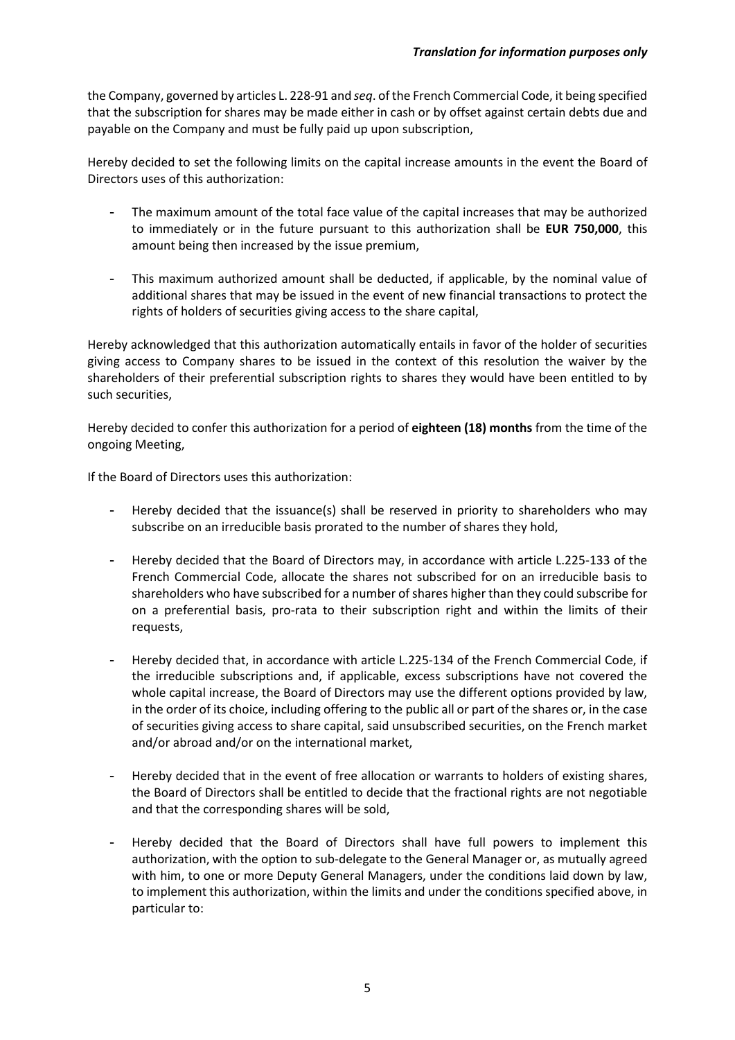the Company, governed by articles L. 228-91 and *seq*. of the French Commercial Code, it being specified that the subscription for shares may be made either in cash or by offset against certain debts due and payable on the Company and must be fully paid up upon subscription,

Hereby decided to set the following limits on the capital increase amounts in the event the Board of Directors uses of this authorization:

- The maximum amount of the total face value of the capital increases that may be authorized to immediately or in the future pursuant to this authorization shall be **EUR 750,000**, this amount being then increased by the issue premium,
- This maximum authorized amount shall be deducted, if applicable, by the nominal value of additional shares that may be issued in the event of new financial transactions to protect the rights of holders of securities giving access to the share capital,

Hereby acknowledged that this authorization automatically entails in favor of the holder of securities giving access to Company shares to be issued in the context of this resolution the waiver by the shareholders of their preferential subscription rights to shares they would have been entitled to by such securities,

Hereby decided to confer this authorization for a period of **eighteen (18) months** from the time of the ongoing Meeting,

If the Board of Directors uses this authorization:

- Hereby decided that the issuance(s) shall be reserved in priority to shareholders who may subscribe on an irreducible basis prorated to the number of shares they hold,
- Hereby decided that the Board of Directors may, in accordance with article L.225-133 of the French Commercial Code, allocate the shares not subscribed for on an irreducible basis to shareholders who have subscribed for a number of shares higher than they could subscribe for on a preferential basis, pro-rata to their subscription right and within the limits of their requests,
- Hereby decided that, in accordance with article L.225-134 of the French Commercial Code, if the irreducible subscriptions and, if applicable, excess subscriptions have not covered the whole capital increase, the Board of Directors may use the different options provided by law, in the order of its choice, including offering to the public all or part of the shares or, in the case of securities giving access to share capital, said unsubscribed securities, on the French market and/or abroad and/or on the international market,
- Hereby decided that in the event of free allocation or warrants to holders of existing shares, the Board of Directors shall be entitled to decide that the fractional rights are not negotiable and that the corresponding shares will be sold,
- Hereby decided that the Board of Directors shall have full powers to implement this authorization, with the option to sub-delegate to the General Manager or, as mutually agreed with him, to one or more Deputy General Managers, under the conditions laid down by law, to implement this authorization, within the limits and under the conditions specified above, in particular to: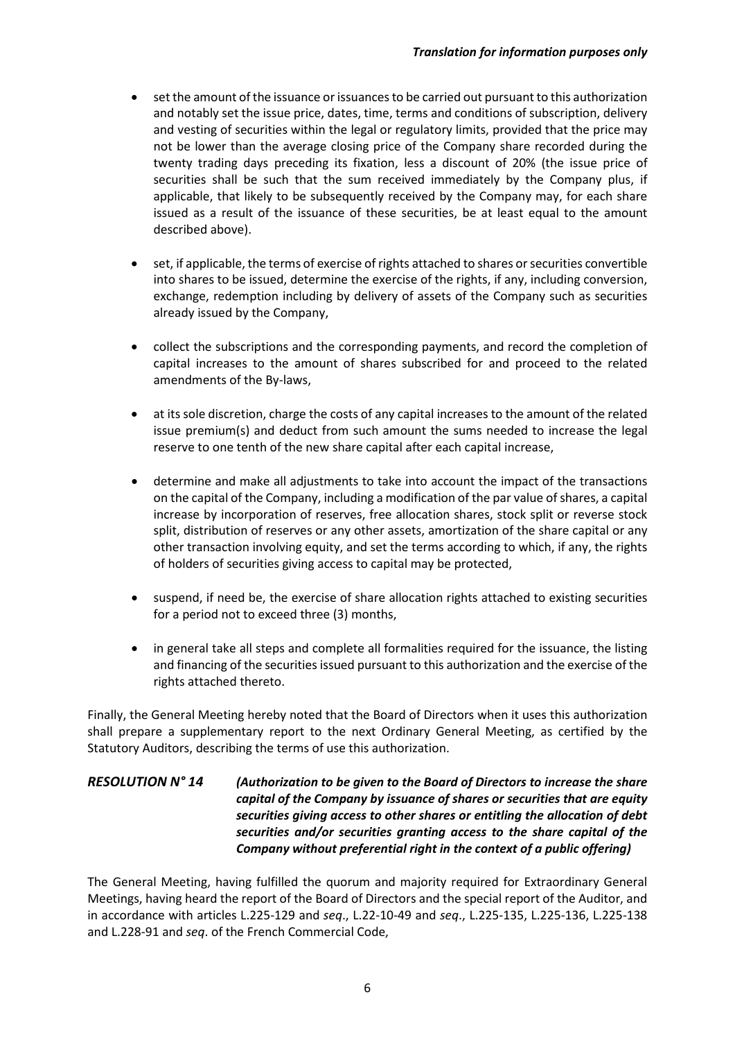- set the amount of the issuance or issuances to be carried out pursuant to this authorization and notably set the issue price, dates, time, terms and conditions of subscription, delivery and vesting of securities within the legal or regulatory limits, provided that the price may not be lower than the average closing price of the Company share recorded during the twenty trading days preceding its fixation, less a discount of 20% (the issue price of securities shall be such that the sum received immediately by the Company plus, if applicable, that likely to be subsequently received by the Company may, for each share issued as a result of the issuance of these securities, be at least equal to the amount described above).
- set, if applicable, the terms of exercise of rights attached to shares or securities convertible into shares to be issued, determine the exercise of the rights, if any, including conversion, exchange, redemption including by delivery of assets of the Company such as securities already issued by the Company,
- collect the subscriptions and the corresponding payments, and record the completion of capital increases to the amount of shares subscribed for and proceed to the related amendments of the By-laws,
- at its sole discretion, charge the costs of any capital increases to the amount of the related issue premium(s) and deduct from such amount the sums needed to increase the legal reserve to one tenth of the new share capital after each capital increase,
- determine and make all adjustments to take into account the impact of the transactions on the capital of the Company, including a modification of the par value of shares, a capital increase by incorporation of reserves, free allocation shares, stock split or reverse stock split, distribution of reserves or any other assets, amortization of the share capital or any other transaction involving equity, and set the terms according to which, if any, the rights of holders of securities giving access to capital may be protected,
- suspend, if need be, the exercise of share allocation rights attached to existing securities for a period not to exceed three (3) months,
- in general take all steps and complete all formalities required for the issuance, the listing and financing of the securities issued pursuant to this authorization and the exercise of the rights attached thereto.

Finally, the General Meeting hereby noted that the Board of Directors when it uses this authorization shall prepare a supplementary report to the next Ordinary General Meeting, as certified by the Statutory Auditors, describing the terms of use this authorization.

### *RESOLUTION N° 14 (Authorization to be given to the Board of Directors to increase the share capital of the Company by issuance of shares or securities that are equity securities giving access to other shares or entitling the allocation of debt securities and/or securities granting access to the share capital of the Company without preferential right in the context of a public offering)*

The General Meeting, having fulfilled the quorum and majority required for Extraordinary General Meetings, having heard the report of the Board of Directors and the special report of the Auditor, and in accordance with articles L.225-129 and *seq*., L.22-10-49 and *seq*., L.225-135, L.225-136, L.225-138 and L.228-91 and *seq*. of the French Commercial Code,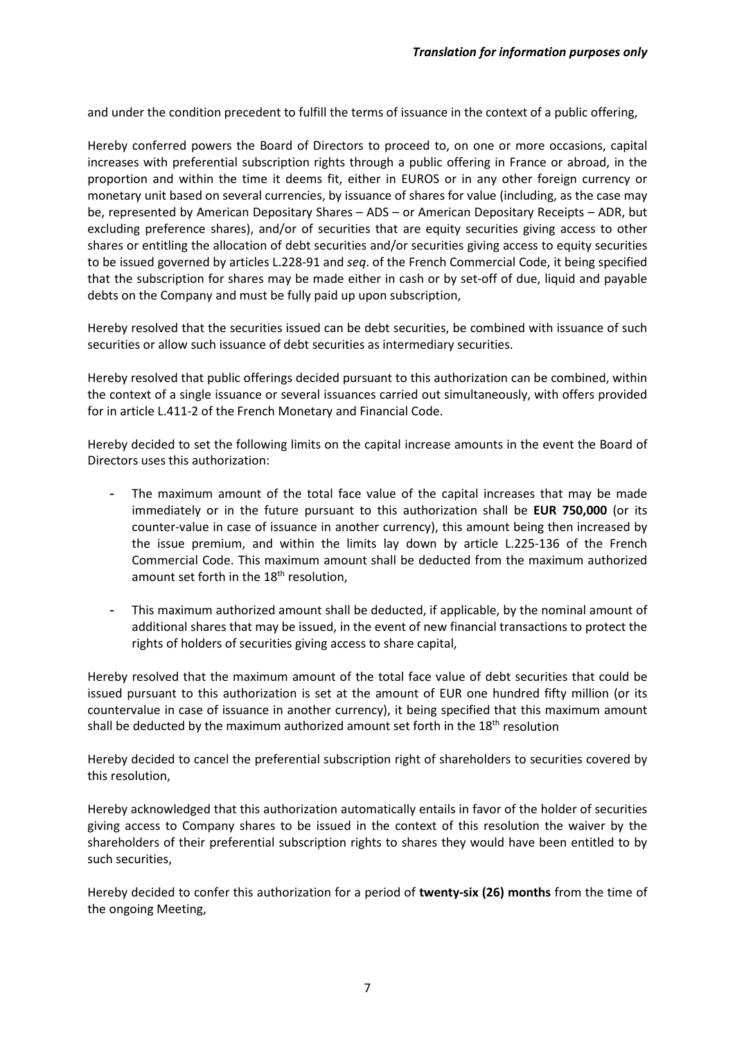and under the condition precedent to fulfill the terms of issuance in the context of a public offering,

Hereby conferred powers the Board of Directors to proceed to, on one or more occasions, capital increases with preferential subscription rights through a public offering in France or abroad, in the proportion and within the time it deems fit, either in EUROS or in any other foreign currency or monetary unit based on several currencies, by issuance of shares for value (including, as the case may be, represented by American Depositary Shares – ADS – or American Depositary Receipts – ADR, but excluding preference shares), and/or of securities that are equity securities giving access to other shares or entitling the allocation of debt securities and/or securities giving access to equity securities to be issued governed by articles L.228-91 and *seq*. of the French Commercial Code, it being specified that the subscription for shares may be made either in cash or by set-off of due, liquid and payable debts on the Company and must be fully paid up upon subscription,

Hereby resolved that the securities issued can be debt securities, be combined with issuance of such securities or allow such issuance of debt securities as intermediary securities.

Hereby resolved that public offerings decided pursuant to this authorization can be combined, within the context of a single issuance or several issuances carried out simultaneously, with offers provided for in article L.411-2 of the French Monetary and Financial Code.

Hereby decided to set the following limits on the capital increase amounts in the event the Board of Directors uses this authorization:

- The maximum amount of the total face value of the capital increases that may be made immediately or in the future pursuant to this authorization shall be **EUR 750,000** (or its counter-value in case of issuance in another currency), this amount being then increased by the issue premium, and within the limits lay down by article L.225-136 of the French Commercial Code. This maximum amount shall be deducted from the maximum authorized amount set forth in the  $18<sup>th</sup>$  resolution.
- This maximum authorized amount shall be deducted, if applicable, by the nominal amount of additional shares that may be issued, in the event of new financial transactions to protect the rights of holders of securities giving access to share capital,

Hereby resolved that the maximum amount of the total face value of debt securities that could be issued pursuant to this authorization is set at the amount of EUR one hundred fifty million (or its countervalue in case of issuance in another currency), it being specified that this maximum amount shall be deducted by the maximum authorized amount set forth in the  $18<sup>th</sup>$  resolution

Hereby decided to cancel the preferential subscription right of shareholders to securities covered by this resolution,

Hereby acknowledged that this authorization automatically entails in favor of the holder of securities giving access to Company shares to be issued in the context of this resolution the waiver by the shareholders of their preferential subscription rights to shares they would have been entitled to by such securities,

Hereby decided to confer this authorization for a period of **twenty-six (26) months** from the time of the ongoing Meeting,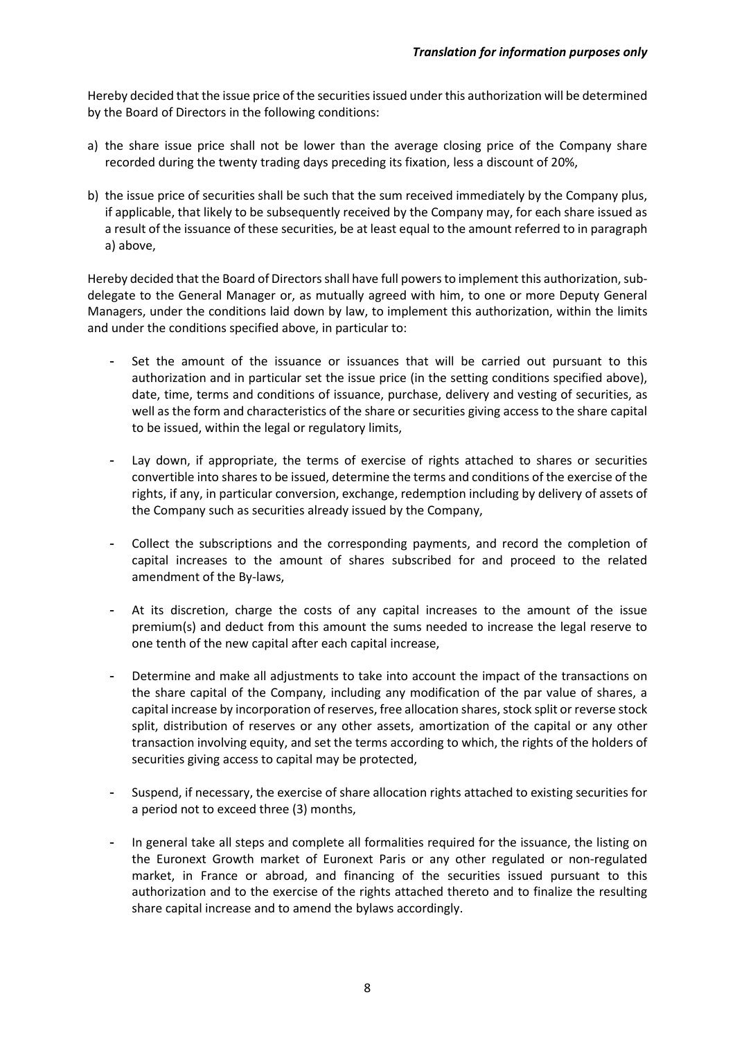Hereby decided that the issue price of the securities issued under this authorization will be determined by the Board of Directors in the following conditions:

- a) the share issue price shall not be lower than the average closing price of the Company share recorded during the twenty trading days preceding its fixation, less a discount of 20%,
- b) the issue price of securities shall be such that the sum received immediately by the Company plus, if applicable, that likely to be subsequently received by the Company may, for each share issued as a result of the issuance of these securities, be at least equal to the amount referred to in paragraph a) above,

Hereby decided that the Board of Directors shall have full powers to implement this authorization, subdelegate to the General Manager or, as mutually agreed with him, to one or more Deputy General Managers, under the conditions laid down by law, to implement this authorization, within the limits and under the conditions specified above, in particular to:

- Set the amount of the issuance or issuances that will be carried out pursuant to this authorization and in particular set the issue price (in the setting conditions specified above), date, time, terms and conditions of issuance, purchase, delivery and vesting of securities, as well as the form and characteristics of the share or securities giving access to the share capital to be issued, within the legal or regulatory limits,
- Lay down, if appropriate, the terms of exercise of rights attached to shares or securities convertible into shares to be issued, determine the terms and conditions of the exercise of the rights, if any, in particular conversion, exchange, redemption including by delivery of assets of the Company such as securities already issued by the Company,
- Collect the subscriptions and the corresponding payments, and record the completion of capital increases to the amount of shares subscribed for and proceed to the related amendment of the By-laws,
- At its discretion, charge the costs of any capital increases to the amount of the issue premium(s) and deduct from this amount the sums needed to increase the legal reserve to one tenth of the new capital after each capital increase,
- Determine and make all adjustments to take into account the impact of the transactions on the share capital of the Company, including any modification of the par value of shares, a capital increase by incorporation of reserves, free allocation shares, stock split or reverse stock split, distribution of reserves or any other assets, amortization of the capital or any other transaction involving equity, and set the terms according to which, the rights of the holders of securities giving access to capital may be protected,
- Suspend, if necessary, the exercise of share allocation rights attached to existing securities for a period not to exceed three (3) months,
- In general take all steps and complete all formalities required for the issuance, the listing on the Euronext Growth market of Euronext Paris or any other regulated or non-regulated market, in France or abroad, and financing of the securities issued pursuant to this authorization and to the exercise of the rights attached thereto and to finalize the resulting share capital increase and to amend the bylaws accordingly.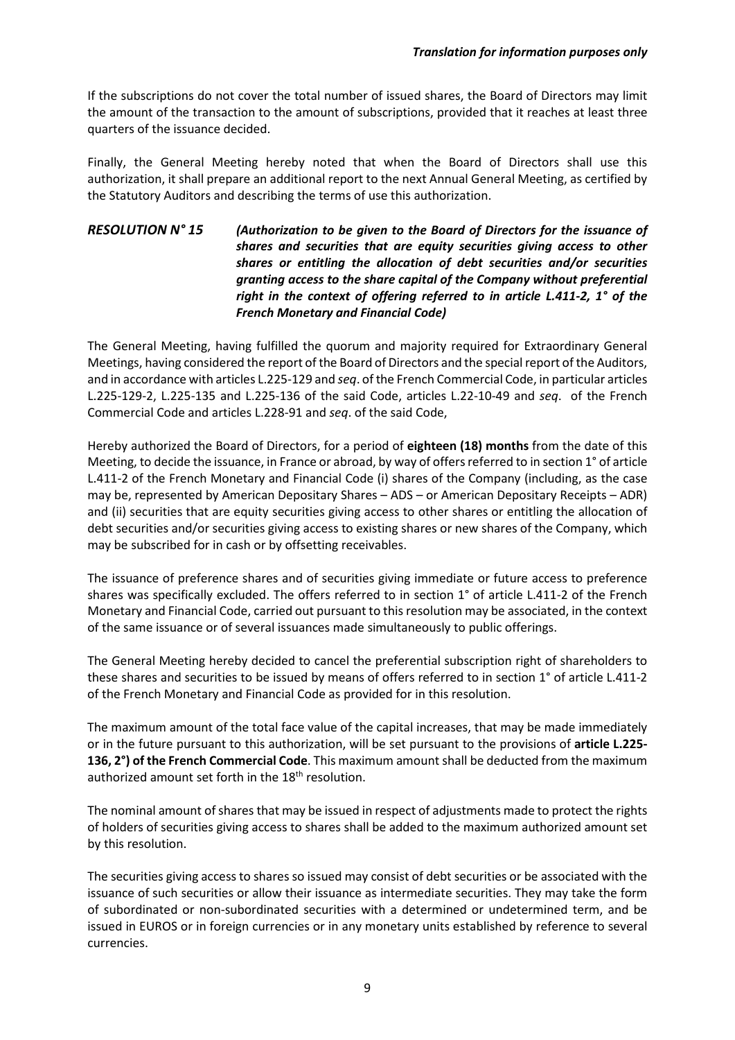If the subscriptions do not cover the total number of issued shares, the Board of Directors may limit the amount of the transaction to the amount of subscriptions, provided that it reaches at least three quarters of the issuance decided.

Finally, the General Meeting hereby noted that when the Board of Directors shall use this authorization, it shall prepare an additional report to the next Annual General Meeting, as certified by the Statutory Auditors and describing the terms of use this authorization.

### *RESOLUTION N° 15 (Authorization to be given to the Board of Directors for the issuance of shares and securities that are equity securities giving access to other shares or entitling the allocation of debt securities and/or securities granting access to the share capital of the Company without preferential right in the context of offering referred to in article L.411-2, 1° of the French Monetary and Financial Code)*

The General Meeting, having fulfilled the quorum and majority required for Extraordinary General Meetings, having considered the report of the Board of Directors and the special report of the Auditors, and in accordance with articles L.225-129 and *seq*. of the French Commercial Code, in particular articles L.225-129-2, L.225-135 and L.225-136 of the said Code, articles L.22-10-49 and *seq*. of the French Commercial Code and articles L.228-91 and *seq*. of the said Code,

Hereby authorized the Board of Directors, for a period of **eighteen (18) months** from the date of this Meeting, to decide the issuance, in France or abroad, by way of offers referred to in section 1° of article L.411-2 of the French Monetary and Financial Code (i) shares of the Company (including, as the case may be, represented by American Depositary Shares – ADS – or American Depositary Receipts – ADR) and (ii) securities that are equity securities giving access to other shares or entitling the allocation of debt securities and/or securities giving access to existing shares or new shares of the Company, which may be subscribed for in cash or by offsetting receivables.

The issuance of preference shares and of securities giving immediate or future access to preference shares was specifically excluded. The offers referred to in section 1° of article L.411-2 of the French Monetary and Financial Code, carried out pursuant to this resolution may be associated, in the context of the same issuance or of several issuances made simultaneously to public offerings.

The General Meeting hereby decided to cancel the preferential subscription right of shareholders to these shares and securities to be issued by means of offers referred to in section 1° of article L.411-2 of the French Monetary and Financial Code as provided for in this resolution.

The maximum amount of the total face value of the capital increases, that may be made immediately or in the future pursuant to this authorization, will be set pursuant to the provisions of **article L.225- 136, 2°) of the French Commercial Code**. This maximum amount shall be deducted from the maximum authorized amount set forth in the 18<sup>th</sup> resolution.

The nominal amount of shares that may be issued in respect of adjustments made to protect the rights of holders of securities giving access to shares shall be added to the maximum authorized amount set by this resolution.

The securities giving access to shares so issued may consist of debt securities or be associated with the issuance of such securities or allow their issuance as intermediate securities. They may take the form of subordinated or non-subordinated securities with a determined or undetermined term, and be issued in EUROS or in foreign currencies or in any monetary units established by reference to several currencies.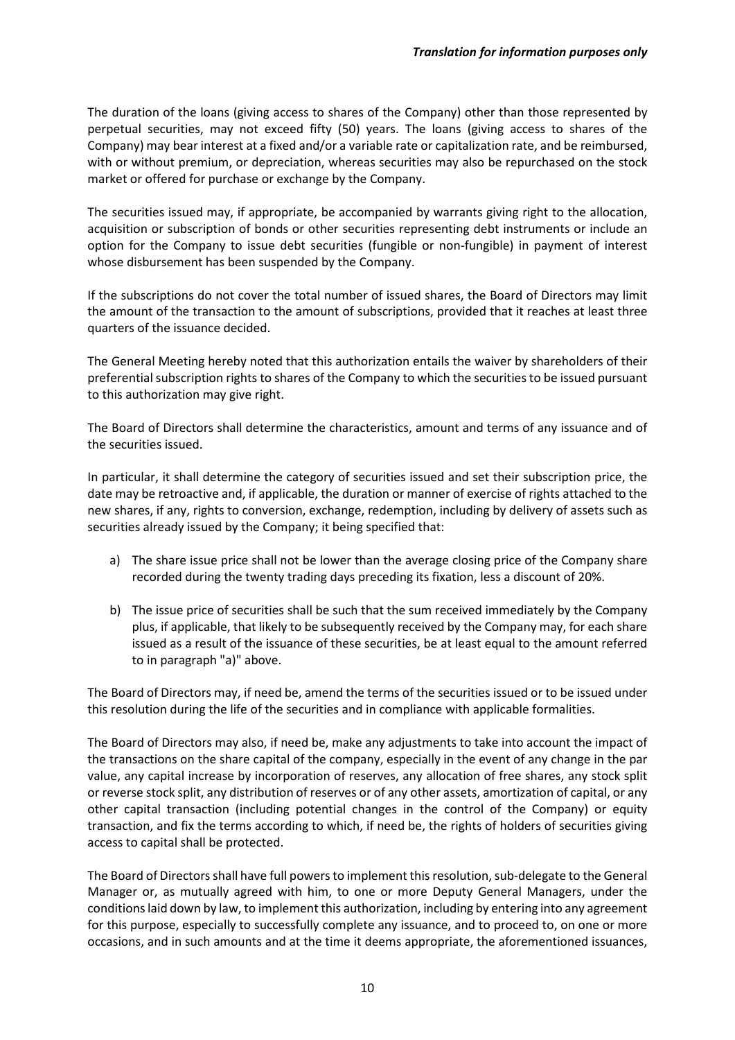The duration of the loans (giving access to shares of the Company) other than those represented by perpetual securities, may not exceed fifty (50) years. The loans (giving access to shares of the Company) may bear interest at a fixed and/or a variable rate or capitalization rate, and be reimbursed, with or without premium, or depreciation, whereas securities may also be repurchased on the stock market or offered for purchase or exchange by the Company.

The securities issued may, if appropriate, be accompanied by warrants giving right to the allocation, acquisition or subscription of bonds or other securities representing debt instruments or include an option for the Company to issue debt securities (fungible or non-fungible) in payment of interest whose disbursement has been suspended by the Company.

If the subscriptions do not cover the total number of issued shares, the Board of Directors may limit the amount of the transaction to the amount of subscriptions, provided that it reaches at least three quarters of the issuance decided.

The General Meeting hereby noted that this authorization entails the waiver by shareholders of their preferential subscription rights to shares of the Company to which the securities to be issued pursuant to this authorization may give right.

The Board of Directors shall determine the characteristics, amount and terms of any issuance and of the securities issued.

In particular, it shall determine the category of securities issued and set their subscription price, the date may be retroactive and, if applicable, the duration or manner of exercise of rights attached to the new shares, if any, rights to conversion, exchange, redemption, including by delivery of assets such as securities already issued by the Company; it being specified that:

- a) The share issue price shall not be lower than the average closing price of the Company share recorded during the twenty trading days preceding its fixation, less a discount of 20%.
- b) The issue price of securities shall be such that the sum received immediately by the Company plus, if applicable, that likely to be subsequently received by the Company may, for each share issued as a result of the issuance of these securities, be at least equal to the amount referred to in paragraph "a)" above.

The Board of Directors may, if need be, amend the terms of the securities issued or to be issued under this resolution during the life of the securities and in compliance with applicable formalities.

The Board of Directors may also, if need be, make any adjustments to take into account the impact of the transactions on the share capital of the company, especially in the event of any change in the par value, any capital increase by incorporation of reserves, any allocation of free shares, any stock split or reverse stock split, any distribution of reserves or of any other assets, amortization of capital, or any other capital transaction (including potential changes in the control of the Company) or equity transaction, and fix the terms according to which, if need be, the rights of holders of securities giving access to capital shall be protected.

The Board of Directors shall have full powers to implement this resolution, sub-delegate to the General Manager or, as mutually agreed with him, to one or more Deputy General Managers, under the conditions laid down by law, to implement this authorization, including by entering into any agreement for this purpose, especially to successfully complete any issuance, and to proceed to, on one or more occasions, and in such amounts and at the time it deems appropriate, the aforementioned issuances,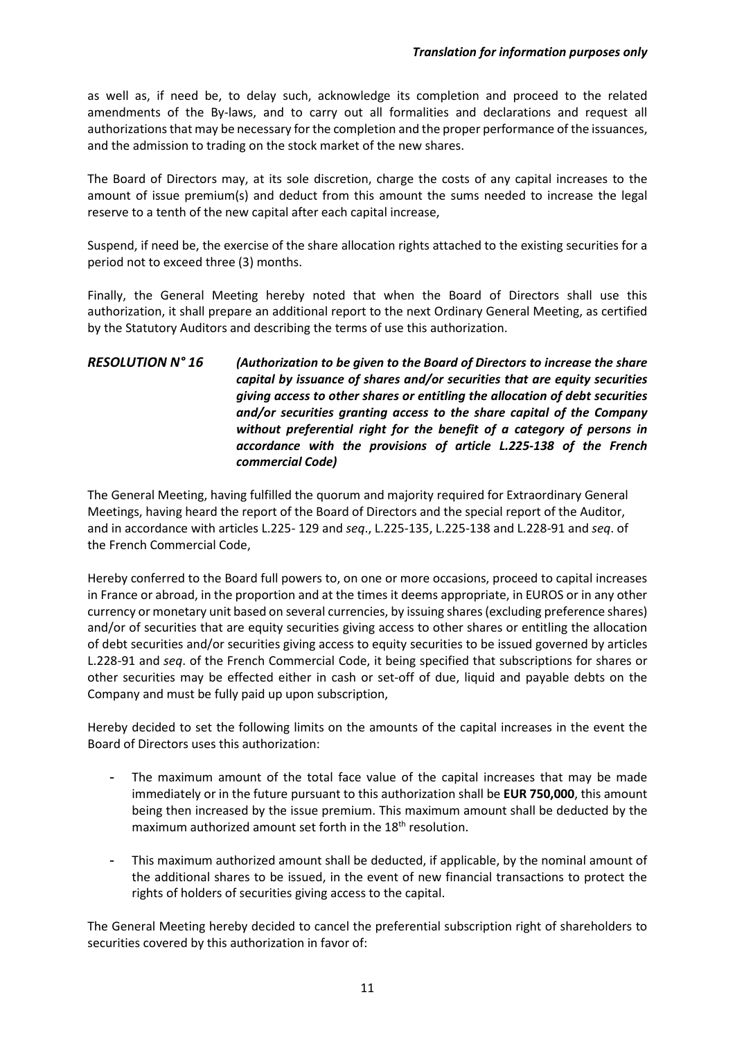as well as, if need be, to delay such, acknowledge its completion and proceed to the related amendments of the By-laws, and to carry out all formalities and declarations and request all authorizations that may be necessary for the completion and the proper performance of the issuances, and the admission to trading on the stock market of the new shares.

The Board of Directors may, at its sole discretion, charge the costs of any capital increases to the amount of issue premium(s) and deduct from this amount the sums needed to increase the legal reserve to a tenth of the new capital after each capital increase,

Suspend, if need be, the exercise of the share allocation rights attached to the existing securities for a period not to exceed three (3) months.

Finally, the General Meeting hereby noted that when the Board of Directors shall use this authorization, it shall prepare an additional report to the next Ordinary General Meeting, as certified by the Statutory Auditors and describing the terms of use this authorization.

### *RESOLUTION N° 16 (Authorization to be given to the Board of Directors to increase the share capital by issuance of shares and/or securities that are equity securities giving access to other shares or entitling the allocation of debt securities and/or securities granting access to the share capital of the Company without preferential right for the benefit of a category of persons in accordance with the provisions of article L.225-138 of the French commercial Code)*

The General Meeting, having fulfilled the quorum and majority required for Extraordinary General Meetings, having heard the report of the Board of Directors and the special report of the Auditor, and in accordance with articles L.225- 129 and *seq*., L.225-135, L.225-138 and L.228-91 and *seq*. of the French Commercial Code,

Hereby conferred to the Board full powers to, on one or more occasions, proceed to capital increases in France or abroad, in the proportion and at the times it deems appropriate, in EUROS or in any other currency or monetary unit based on several currencies, by issuing shares (excluding preference shares) and/or of securities that are equity securities giving access to other shares or entitling the allocation of debt securities and/or securities giving access to equity securities to be issued governed by articles L.228-91 and *seq*. of the French Commercial Code, it being specified that subscriptions for shares or other securities may be effected either in cash or set-off of due, liquid and payable debts on the Company and must be fully paid up upon subscription,

Hereby decided to set the following limits on the amounts of the capital increases in the event the Board of Directors uses this authorization:

- The maximum amount of the total face value of the capital increases that may be made immediately or in the future pursuant to this authorization shall be **EUR 750,000**, this amount being then increased by the issue premium. This maximum amount shall be deducted by the maximum authorized amount set forth in the 18<sup>th</sup> resolution.
- This maximum authorized amount shall be deducted, if applicable, by the nominal amount of the additional shares to be issued, in the event of new financial transactions to protect the rights of holders of securities giving access to the capital.

The General Meeting hereby decided to cancel the preferential subscription right of shareholders to securities covered by this authorization in favor of: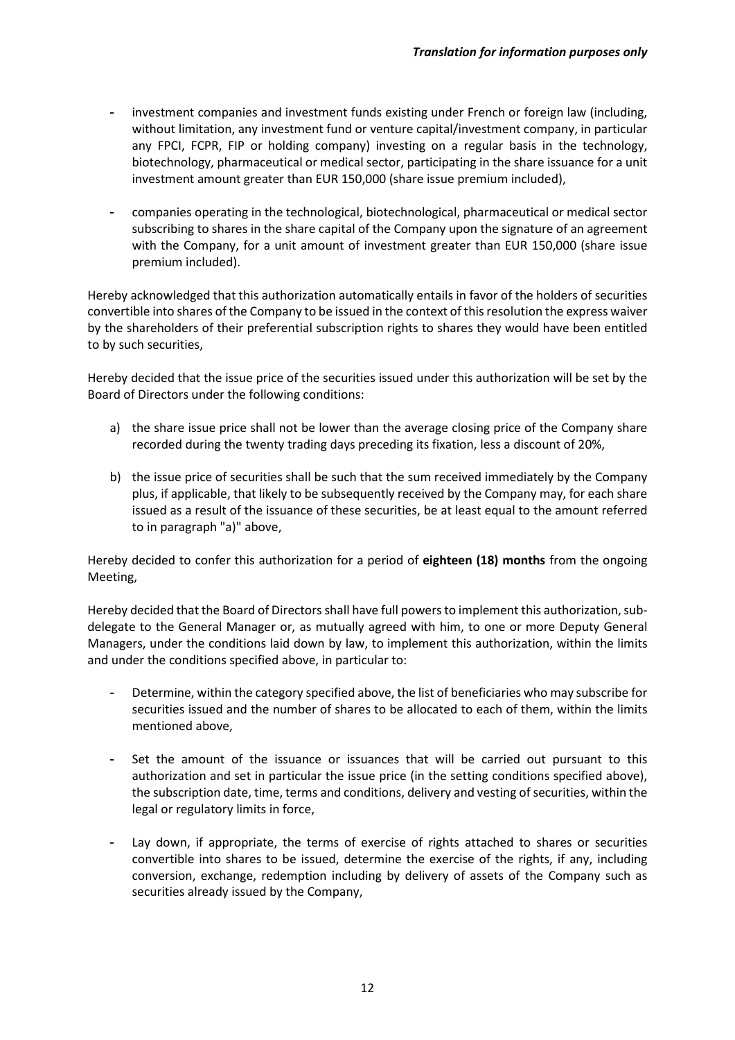- investment companies and investment funds existing under French or foreign law (including, without limitation, any investment fund or venture capital/investment company, in particular any FPCI, FCPR, FIP or holding company) investing on a regular basis in the technology, biotechnology, pharmaceutical or medical sector, participating in the share issuance for a unit investment amount greater than EUR 150,000 (share issue premium included),
- companies operating in the technological, biotechnological, pharmaceutical or medical sector subscribing to shares in the share capital of the Company upon the signature of an agreement with the Company, for a unit amount of investment greater than EUR 150,000 (share issue premium included).

Hereby acknowledged that this authorization automatically entails in favor of the holders of securities convertible into shares of the Company to be issued in the context of this resolution the express waiver by the shareholders of their preferential subscription rights to shares they would have been entitled to by such securities,

Hereby decided that the issue price of the securities issued under this authorization will be set by the Board of Directors under the following conditions:

- a) the share issue price shall not be lower than the average closing price of the Company share recorded during the twenty trading days preceding its fixation, less a discount of 20%,
- b) the issue price of securities shall be such that the sum received immediately by the Company plus, if applicable, that likely to be subsequently received by the Company may, for each share issued as a result of the issuance of these securities, be at least equal to the amount referred to in paragraph "a)" above,

Hereby decided to confer this authorization for a period of **eighteen (18) months** from the ongoing Meeting,

Hereby decided that the Board of Directors shall have full powers to implement this authorization, subdelegate to the General Manager or, as mutually agreed with him, to one or more Deputy General Managers, under the conditions laid down by law, to implement this authorization, within the limits and under the conditions specified above, in particular to:

- Determine, within the category specified above, the list of beneficiaries who may subscribe for securities issued and the number of shares to be allocated to each of them, within the limits mentioned above,
- Set the amount of the issuance or issuances that will be carried out pursuant to this authorization and set in particular the issue price (in the setting conditions specified above), the subscription date, time, terms and conditions, delivery and vesting of securities, within the legal or regulatory limits in force,
- Lay down, if appropriate, the terms of exercise of rights attached to shares or securities convertible into shares to be issued, determine the exercise of the rights, if any, including conversion, exchange, redemption including by delivery of assets of the Company such as securities already issued by the Company,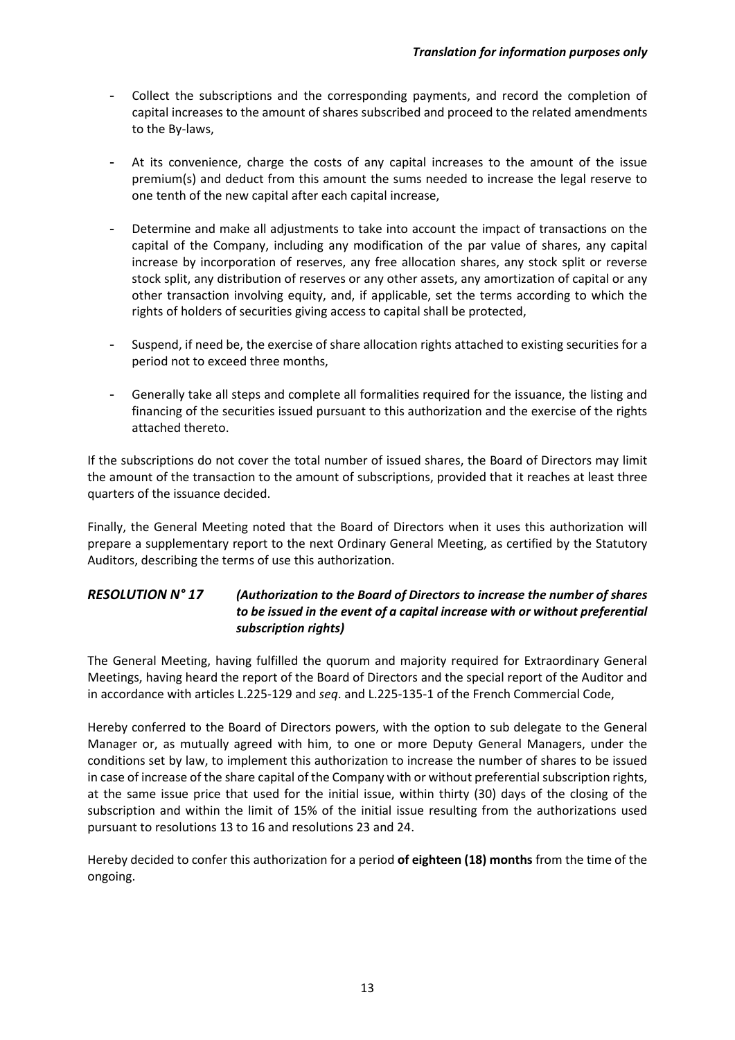- Collect the subscriptions and the corresponding payments, and record the completion of capital increases to the amount of shares subscribed and proceed to the related amendments to the By-laws,
- At its convenience, charge the costs of any capital increases to the amount of the issue premium(s) and deduct from this amount the sums needed to increase the legal reserve to one tenth of the new capital after each capital increase,
- Determine and make all adjustments to take into account the impact of transactions on the capital of the Company, including any modification of the par value of shares, any capital increase by incorporation of reserves, any free allocation shares, any stock split or reverse stock split, any distribution of reserves or any other assets, any amortization of capital or any other transaction involving equity, and, if applicable, set the terms according to which the rights of holders of securities giving access to capital shall be protected,
- Suspend, if need be, the exercise of share allocation rights attached to existing securities for a period not to exceed three months,
- Generally take all steps and complete all formalities required for the issuance, the listing and financing of the securities issued pursuant to this authorization and the exercise of the rights attached thereto.

If the subscriptions do not cover the total number of issued shares, the Board of Directors may limit the amount of the transaction to the amount of subscriptions, provided that it reaches at least three quarters of the issuance decided.

Finally, the General Meeting noted that the Board of Directors when it uses this authorization will prepare a supplementary report to the next Ordinary General Meeting, as certified by the Statutory Auditors, describing the terms of use this authorization.

## *RESOLUTION N° 17 (Authorization to the Board of Directors to increase the number of shares to be issued in the event of a capital increase with or without preferential subscription rights)*

The General Meeting, having fulfilled the quorum and majority required for Extraordinary General Meetings, having heard the report of the Board of Directors and the special report of the Auditor and in accordance with articles L.225-129 and *seq*. and L.225-135-1 of the French Commercial Code,

Hereby conferred to the Board of Directors powers, with the option to sub delegate to the General Manager or, as mutually agreed with him, to one or more Deputy General Managers, under the conditions set by law, to implement this authorization to increase the number of shares to be issued in case of increase of the share capital of the Company with or without preferential subscription rights, at the same issue price that used for the initial issue, within thirty (30) days of the closing of the subscription and within the limit of 15% of the initial issue resulting from the authorizations used pursuant to resolutions 13 to 16 and resolutions 23 and 24.

Hereby decided to confer this authorization for a period **of eighteen (18) months** from the time of the ongoing.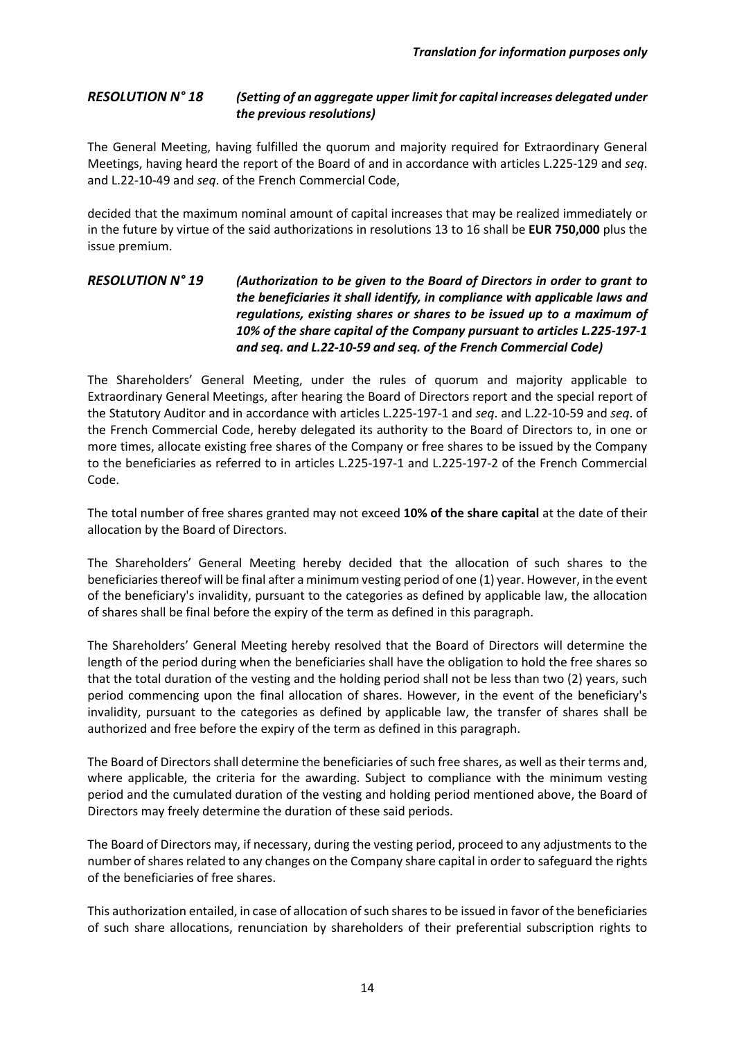#### *RESOLUTION N° 18 (Setting of an aggregate upper limit for capital increases delegated under the previous resolutions)*

The General Meeting, having fulfilled the quorum and majority required for Extraordinary General Meetings, having heard the report of the Board of and in accordance with articles L.225-129 and *seq*. and L.22-10-49 and *seq*. of the French Commercial Code,

decided that the maximum nominal amount of capital increases that may be realized immediately or in the future by virtue of the said authorizations in resolutions 13 to 16 shall be **EUR 750,000** plus the issue premium.

## *RESOLUTION N° 19 (Authorization to be given to the Board of Directors in order to grant to the beneficiaries it shall identify, in compliance with applicable laws and regulations, existing shares or shares to be issued up to a maximum of 10% of the share capital of the Company pursuant to articles L.225-197-1 and seq. and L.22-10-59 and seq. of the French Commercial Code)*

The Shareholders' General Meeting, under the rules of quorum and majority applicable to Extraordinary General Meetings, after hearing the Board of Directors report and the special report of the Statutory Auditor and in accordance with articles L.225-197-1 and *seq*. and L.22-10-59 and *seq*. of the French Commercial Code, hereby delegated its authority to the Board of Directors to, in one or more times, allocate existing free shares of the Company or free shares to be issued by the Company to the beneficiaries as referred to in articles L.225-197-1 and L.225-197-2 of the French Commercial Code.

The total number of free shares granted may not exceed **10% of the share capital** at the date of their allocation by the Board of Directors.

The Shareholders' General Meeting hereby decided that the allocation of such shares to the beneficiaries thereof will be final after a minimum vesting period of one (1) year. However, in the event of the beneficiary's invalidity, pursuant to the categories as defined by applicable law, the allocation of shares shall be final before the expiry of the term as defined in this paragraph.

The Shareholders' General Meeting hereby resolved that the Board of Directors will determine the length of the period during when the beneficiaries shall have the obligation to hold the free shares so that the total duration of the vesting and the holding period shall not be less than two (2) years, such period commencing upon the final allocation of shares. However, in the event of the beneficiary's invalidity, pursuant to the categories as defined by applicable law, the transfer of shares shall be authorized and free before the expiry of the term as defined in this paragraph.

The Board of Directors shall determine the beneficiaries of such free shares, as well as their terms and, where applicable, the criteria for the awarding. Subject to compliance with the minimum vesting period and the cumulated duration of the vesting and holding period mentioned above, the Board of Directors may freely determine the duration of these said periods.

The Board of Directors may, if necessary, during the vesting period, proceed to any adjustments to the number of shares related to any changes on the Company share capital in order to safeguard the rights of the beneficiaries of free shares.

This authorization entailed, in case of allocation of such shares to be issued in favor of the beneficiaries of such share allocations, renunciation by shareholders of their preferential subscription rights to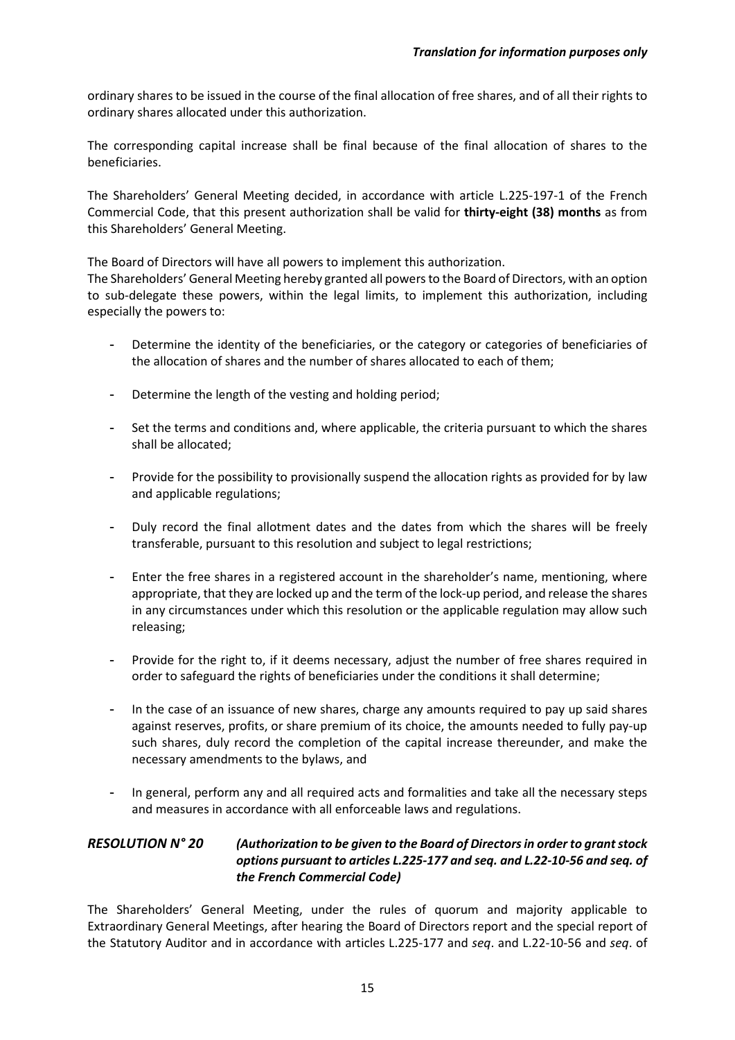ordinary shares to be issued in the course of the final allocation of free shares, and of all their rights to ordinary shares allocated under this authorization.

The corresponding capital increase shall be final because of the final allocation of shares to the beneficiaries.

The Shareholders' General Meeting decided, in accordance with article L.225-197-1 of the French Commercial Code, that this present authorization shall be valid for **thirty-eight (38) months** as from this Shareholders' General Meeting.

The Board of Directors will have all powers to implement this authorization.

The Shareholders' General Meeting hereby granted all powers to the Board of Directors, with an option to sub-delegate these powers, within the legal limits, to implement this authorization, including especially the powers to:

- Determine the identity of the beneficiaries, or the category or categories of beneficiaries of the allocation of shares and the number of shares allocated to each of them;
- Determine the length of the vesting and holding period;
- Set the terms and conditions and, where applicable, the criteria pursuant to which the shares shall be allocated;
- Provide for the possibility to provisionally suspend the allocation rights as provided for by law and applicable regulations;
- Duly record the final allotment dates and the dates from which the shares will be freely transferable, pursuant to this resolution and subject to legal restrictions;
- Enter the free shares in a registered account in the shareholder's name, mentioning, where appropriate, that they are locked up and the term of the lock-up period, and release the shares in any circumstances under which this resolution or the applicable regulation may allow such releasing;
- Provide for the right to, if it deems necessary, adjust the number of free shares required in order to safeguard the rights of beneficiaries under the conditions it shall determine;
- In the case of an issuance of new shares, charge any amounts required to pay up said shares against reserves, profits, or share premium of its choice, the amounts needed to fully pay-up such shares, duly record the completion of the capital increase thereunder, and make the necessary amendments to the bylaws, and
- In general, perform any and all required acts and formalities and take all the necessary steps and measures in accordance with all enforceable laws and regulations.

## *RESOLUTION N° 20 (Authorization to be given to the Board of Directors in order to grant stock options pursuant to articles L.225-177 and seq. and L.22-10-56 and seq. of the French Commercial Code)*

The Shareholders' General Meeting, under the rules of quorum and majority applicable to Extraordinary General Meetings, after hearing the Board of Directors report and the special report of the Statutory Auditor and in accordance with articles L.225-177 and *seq*. and L.22-10-56 and *seq*. of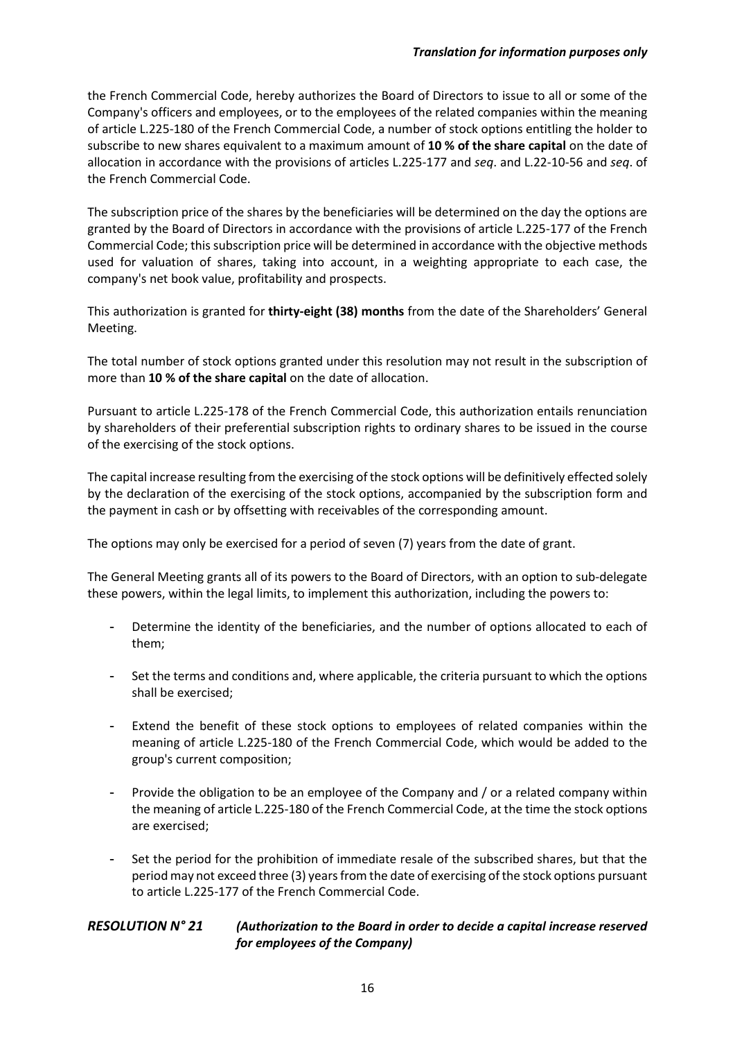the French Commercial Code, hereby authorizes the Board of Directors to issue to all or some of the Company's officers and employees, or to the employees of the related companies within the meaning of article L.225-180 of the French Commercial Code, a number of stock options entitling the holder to subscribe to new shares equivalent to a maximum amount of **10 % of the share capital** on the date of allocation in accordance with the provisions of articles L.225-177 and *seq*. and L.22-10-56 and *seq*. of the French Commercial Code.

The subscription price of the shares by the beneficiaries will be determined on the day the options are granted by the Board of Directors in accordance with the provisions of article L.225-177 of the French Commercial Code; this subscription price will be determined in accordance with the objective methods used for valuation of shares, taking into account, in a weighting appropriate to each case, the company's net book value, profitability and prospects.

This authorization is granted for **thirty-eight (38) months** from the date of the Shareholders' General Meeting.

The total number of stock options granted under this resolution may not result in the subscription of more than **10 % of the share capital** on the date of allocation.

Pursuant to article L.225-178 of the French Commercial Code, this authorization entails renunciation by shareholders of their preferential subscription rights to ordinary shares to be issued in the course of the exercising of the stock options.

The capital increase resulting from the exercising of the stock options will be definitively effected solely by the declaration of the exercising of the stock options, accompanied by the subscription form and the payment in cash or by offsetting with receivables of the corresponding amount.

The options may only be exercised for a period of seven (7) years from the date of grant.

The General Meeting grants all of its powers to the Board of Directors, with an option to sub-delegate these powers, within the legal limits, to implement this authorization, including the powers to:

- Determine the identity of the beneficiaries, and the number of options allocated to each of them;
- Set the terms and conditions and, where applicable, the criteria pursuant to which the options shall be exercised;
- Extend the benefit of these stock options to employees of related companies within the meaning of article L.225-180 of the French Commercial Code, which would be added to the group's current composition;
- Provide the obligation to be an employee of the Company and / or a related company within the meaning of article L.225-180 of the French Commercial Code, at the time the stock options are exercised;
- Set the period for the prohibition of immediate resale of the subscribed shares, but that the period may not exceed three (3) years from the date of exercising of the stock options pursuant to article L.225-177 of the French Commercial Code.

#### *RESOLUTION N° 21 (Authorization to the Board in order to decide a capital increase reserved for employees of the Company)*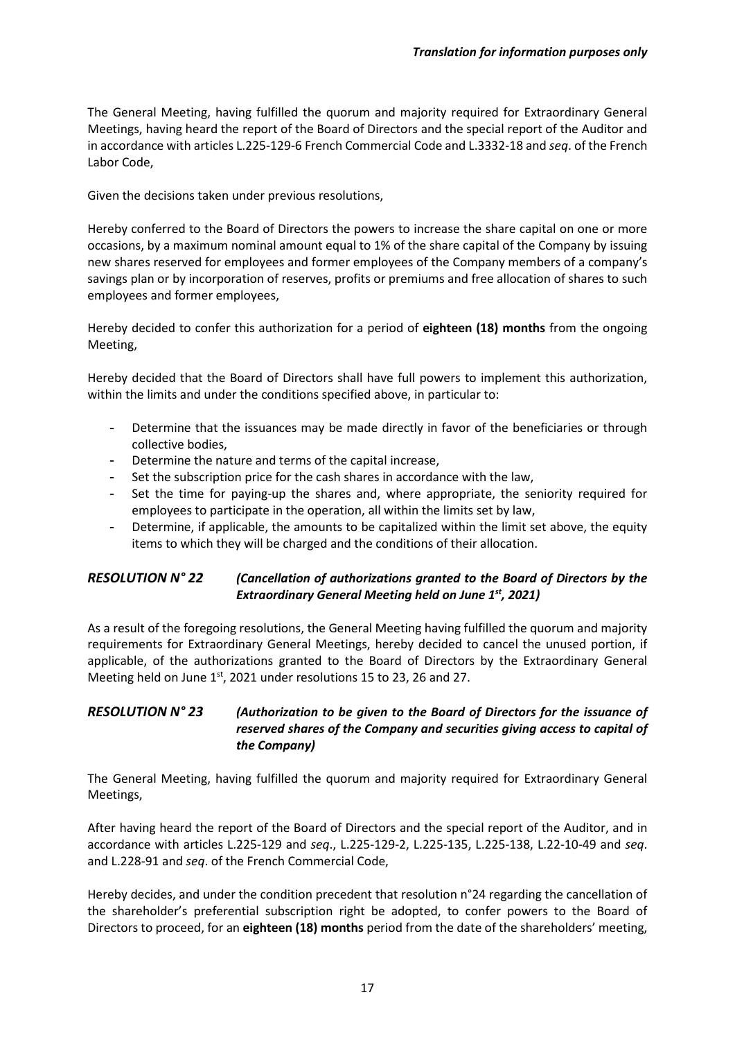The General Meeting, having fulfilled the quorum and majority required for Extraordinary General Meetings, having heard the report of the Board of Directors and the special report of the Auditor and in accordance with articles L.225-129-6 French Commercial Code and L.3332-18 and *seq*. of the French Labor Code,

Given the decisions taken under previous resolutions,

Hereby conferred to the Board of Directors the powers to increase the share capital on one or more occasions, by a maximum nominal amount equal to 1% of the share capital of the Company by issuing new shares reserved for employees and former employees of the Company members of a company's savings plan or by incorporation of reserves, profits or premiums and free allocation of shares to such employees and former employees,

Hereby decided to confer this authorization for a period of **eighteen (18) months** from the ongoing Meeting,

Hereby decided that the Board of Directors shall have full powers to implement this authorization, within the limits and under the conditions specified above, in particular to:

- Determine that the issuances may be made directly in favor of the beneficiaries or through collective bodies,
- Determine the nature and terms of the capital increase,
- Set the subscription price for the cash shares in accordance with the law,
- Set the time for paying-up the shares and, where appropriate, the seniority required for employees to participate in the operation, all within the limits set by law,
- Determine, if applicable, the amounts to be capitalized within the limit set above, the equity items to which they will be charged and the conditions of their allocation.

# *RESOLUTION N° 22 (Cancellation of authorizations granted to the Board of Directors by the Extraordinary General Meeting held on June 1st, 2021)*

As a result of the foregoing resolutions, the General Meeting having fulfilled the quorum and majority requirements for Extraordinary General Meetings, hereby decided to cancel the unused portion, if applicable, of the authorizations granted to the Board of Directors by the Extraordinary General Meeting held on June 1st, 2021 under resolutions 15 to 23, 26 and 27.

### *RESOLUTION N° 23 (Authorization to be given to the Board of Directors for the issuance of reserved shares of the Company and securities giving access to capital of the Company)*

The General Meeting, having fulfilled the quorum and majority required for Extraordinary General Meetings,

After having heard the report of the Board of Directors and the special report of the Auditor, and in accordance with articles L.225-129 and *seq*., L.225-129-2, L.225-135, L.225-138, L.22-10-49 and *seq*. and L.228-91 and *seq*. of the French Commercial Code,

Hereby decides, and under the condition precedent that resolution n°24 regarding the cancellation of the shareholder's preferential subscription right be adopted, to confer powers to the Board of Directors to proceed, for an **eighteen (18) months** period from the date of the shareholders' meeting,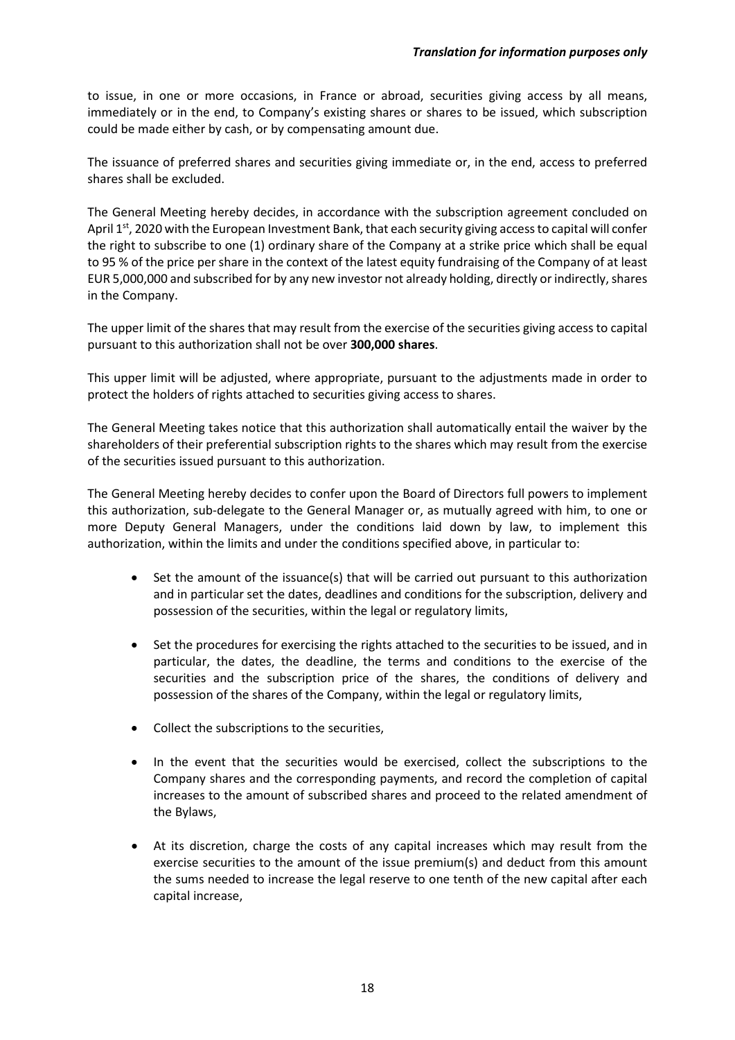to issue, in one or more occasions, in France or abroad, securities giving access by all means, immediately or in the end, to Company's existing shares or shares to be issued, which subscription could be made either by cash, or by compensating amount due.

The issuance of preferred shares and securities giving immediate or, in the end, access to preferred shares shall be excluded.

The General Meeting hereby decides, in accordance with the subscription agreement concluded on April 1st, 2020 with the European Investment Bank, that each security giving access to capital will confer the right to subscribe to one (1) ordinary share of the Company at a strike price which shall be equal to 95 % of the price per share in the context of the latest equity fundraising of the Company of at least EUR 5,000,000 and subscribed for by any new investor not already holding, directly or indirectly, shares in the Company.

The upper limit of the shares that may result from the exercise of the securities giving access to capital pursuant to this authorization shall not be over **300,000 shares**.

This upper limit will be adjusted, where appropriate, pursuant to the adjustments made in order to protect the holders of rights attached to securities giving access to shares.

The General Meeting takes notice that this authorization shall automatically entail the waiver by the shareholders of their preferential subscription rights to the shares which may result from the exercise of the securities issued pursuant to this authorization.

The General Meeting hereby decides to confer upon the Board of Directors full powers to implement this authorization, sub-delegate to the General Manager or, as mutually agreed with him, to one or more Deputy General Managers, under the conditions laid down by law, to implement this authorization, within the limits and under the conditions specified above, in particular to:

- Set the amount of the issuance(s) that will be carried out pursuant to this authorization and in particular set the dates, deadlines and conditions for the subscription, delivery and possession of the securities, within the legal or regulatory limits,
- Set the procedures for exercising the rights attached to the securities to be issued, and in particular, the dates, the deadline, the terms and conditions to the exercise of the securities and the subscription price of the shares, the conditions of delivery and possession of the shares of the Company, within the legal or regulatory limits,
- Collect the subscriptions to the securities,
- In the event that the securities would be exercised, collect the subscriptions to the Company shares and the corresponding payments, and record the completion of capital increases to the amount of subscribed shares and proceed to the related amendment of the Bylaws,
- At its discretion, charge the costs of any capital increases which may result from the exercise securities to the amount of the issue premium(s) and deduct from this amount the sums needed to increase the legal reserve to one tenth of the new capital after each capital increase,